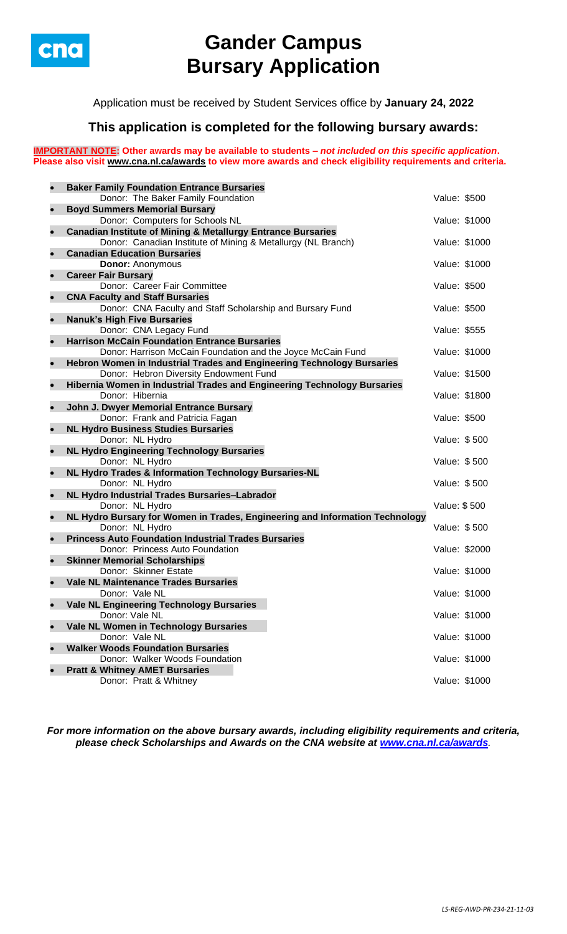

# **Gander Campus Bursary Application**

Application must be received by Student Services office by **January 24, 2022**

## **This application is completed for the following bursary awards:**

**IMPORTANT NOTE: Other awards may be available to students –** *not included on this specific application***. Please also visit [www.cna.nl.ca/awards](http://www.cna.nl.ca/awards) to view more awards and check eligibility requirements and criteria.**

| $\bullet$ | <b>Baker Family Foundation Entrance Bursaries</b>                            |               |               |
|-----------|------------------------------------------------------------------------------|---------------|---------------|
|           | Donor: The Baker Family Foundation                                           | Value: \$500  |               |
| $\bullet$ | <b>Boyd Summers Memorial Bursary</b>                                         |               |               |
|           | Donor: Computers for Schools NL                                              | Value: \$1000 |               |
| $\bullet$ | <b>Canadian Institute of Mining &amp; Metallurgy Entrance Bursaries</b>      |               |               |
|           | Donor: Canadian Institute of Mining & Metallurgy (NL Branch)                 | Value: \$1000 |               |
| $\bullet$ | <b>Canadian Education Bursaries</b>                                          |               |               |
|           | <b>Donor: Anonymous</b>                                                      | Value: \$1000 |               |
| $\bullet$ | <b>Career Fair Bursary</b>                                                   |               |               |
|           | Donor: Career Fair Committee                                                 | Value: \$500  |               |
| $\bullet$ | <b>CNA Faculty and Staff Bursaries</b>                                       |               |               |
|           | Donor: CNA Faculty and Staff Scholarship and Bursary Fund                    | Value: \$500  |               |
| $\bullet$ | <b>Nanuk's High Five Bursaries</b>                                           |               |               |
|           | Donor: CNA Legacy Fund                                                       | Value: \$555  |               |
| $\bullet$ | <b>Harrison McCain Foundation Entrance Bursaries</b>                         |               |               |
|           | Donor: Harrison McCain Foundation and the Joyce McCain Fund                  | Value: \$1000 |               |
| $\bullet$ | Hebron Women in Industrial Trades and Engineering Technology Bursaries       |               |               |
|           | Donor: Hebron Diversity Endowment Fund                                       | Value: \$1500 |               |
| $\bullet$ | Hibernia Women in Industrial Trades and Engineering Technology Bursaries     |               |               |
|           | Donor: Hibernia                                                              | Value: \$1800 |               |
| $\bullet$ | John J. Dwyer Memorial Entrance Bursary                                      |               |               |
|           | Donor: Frank and Patricia Fagan                                              | Value: \$500  |               |
| $\bullet$ | <b>NL Hydro Business Studies Bursaries</b>                                   |               |               |
|           | Donor: NL Hydro                                                              | Value: \$500  |               |
| $\bullet$ | <b>NL Hydro Engineering Technology Bursaries</b>                             | Value: \$500  |               |
| $\bullet$ | Donor: NL Hydro<br>NL Hydro Trades & Information Technology Bursaries-NL     |               |               |
|           | Donor: NL Hydro                                                              | Value: \$500  |               |
| $\bullet$ | NL Hydro Industrial Trades Bursaries-Labrador                                |               |               |
|           | Donor: NL Hydro                                                              | Value: \$500  |               |
| $\bullet$ | NL Hydro Bursary for Women in Trades, Engineering and Information Technology |               |               |
|           | Donor: NL Hydro                                                              | Value: \$500  |               |
| $\bullet$ | <b>Princess Auto Foundation Industrial Trades Bursaries</b>                  |               |               |
|           | Donor: Princess Auto Foundation                                              | Value: \$2000 |               |
| $\bullet$ | <b>Skinner Memorial Scholarships</b>                                         |               |               |
|           | Donor: Skinner Estate                                                        | Value: \$1000 |               |
|           | <b>Vale NL Maintenance Trades Bursaries</b>                                  |               |               |
|           | Donor: Vale NL                                                               | Value: \$1000 |               |
| $\bullet$ | <b>Vale NL Engineering Technology Bursaries</b>                              |               |               |
|           | Donor: Vale NL                                                               |               | Value: \$1000 |
| $\bullet$ | Vale NL Women in Technology Bursaries                                        |               |               |
|           | Donor: Vale NL                                                               |               | Value: \$1000 |
| $\bullet$ | <b>Walker Woods Foundation Bursaries</b>                                     |               |               |
|           | Donor: Walker Woods Foundation                                               | Value: \$1000 |               |
| $\bullet$ | <b>Pratt &amp; Whitney AMET Bursaries</b>                                    |               |               |
|           | Donor: Pratt & Whitney                                                       | Value: \$1000 |               |
|           |                                                                              |               |               |

*For more information on the above bursary awards, including eligibility requirements and criteria, please check Scholarships and Awards on the CNA website at [www.cna.nl.ca/awards](http://www.cna.nl.ca/awards).*